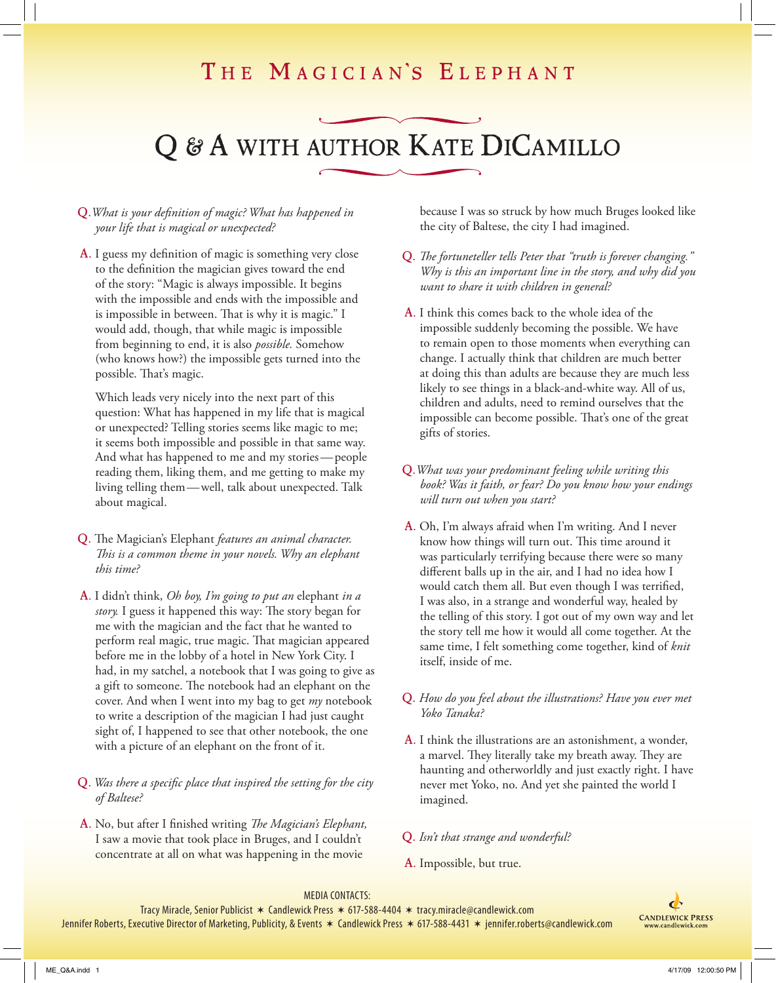### THE MAGICIAN'S ELEPHANT

# Q & A WITH AUTHOR KATE DICAMILLO

#### Q.*What is your definition of magic? What has happened in your life that is magical or unexpected?*

A. I guess my definition of magic is something very close to the definition the magician gives toward the end of the story: "Magic is always impossible. It begins with the impossible and ends with the impossible and is impossible in between. That is why it is magic." I would add, though, that while magic is impossible from beginning to end, it is also *possible.* Somehow (who knows how?) the impossible gets turned into the possible. That's magic.

Which leads very nicely into the next part of this question: What has happened in my life that is magical or unexpected? Telling stories seems like magic to me; it seems both impossible and possible in that same way. And what has happened to me and my stories — people reading them, liking them, and me getting to make my living telling them — well, talk about unexpected. Talk about magical.

- Q. The Magician's Elephant *features an animal character. This is a common theme in your novels. Why an elephant this time?*
- A. I didn't think, *Oh boy, I'm going to put an* elephant *in a story.* I guess it happened this way: The story began for me with the magician and the fact that he wanted to perform real magic, true magic. That magician appeared before me in the lobby of a hotel in New York City. I had, in my satchel, a notebook that I was going to give as a gift to someone. The notebook had an elephant on the cover. And when I went into my bag to get *my* notebook to write a description of the magician I had just caught sight of, I happened to see that other notebook, the one with a picture of an elephant on the front of it.

#### Q. *Was there a specific place that inspired the setting for the city of Baltese?*

A. No, but after I finished writing *The Magician's Elephant,*  I saw a movie that took place in Bruges, and I couldn't concentrate at all on what was happening in the movie

because I was so struck by how much Bruges looked like the city of Baltese, the city I had imagined.

- Q. *The fortuneteller tells Peter that "truth is forever changing." Why is this an important line in the story, and why did you want to share it with children in general?*
- A. I think this comes back to the whole idea of the impossible suddenly becoming the possible. We have to remain open to those moments when everything can change. I actually think that children are much better at doing this than adults are because they are much less likely to see things in a black-and-white way. All of us, children and adults, need to remind ourselves that the impossible can become possible. That's one of the great gifts of stories.
- Q.*What was your predominant feeling while writing this book? Was it faith, or fear? Do you know how your endings will turn out when you start?*
- A. Oh, I'm always afraid when I'm writing. And I never know how things will turn out. This time around it was particularly terrifying because there were so many different balls up in the air, and I had no idea how I would catch them all. But even though I was terrified, I was also, in a strange and wonderful way, healed by the telling of this story. I got out of my own way and let the story tell me how it would all come together. At the same time, I felt something come together, kind of *knit* itself, inside of me.
- Q. *How do you feel about the illustrations? Have you ever met Yoko Tanaka?*
- A. I think the illustrations are an astonishment, a wonder, a marvel. They literally take my breath away. They are haunting and otherworldly and just exactly right. I have never met Yoko, no. And yet she painted the world I imagined.
- Q. *Isn't that strange and wonderful?*
- A. Impossible, but true.